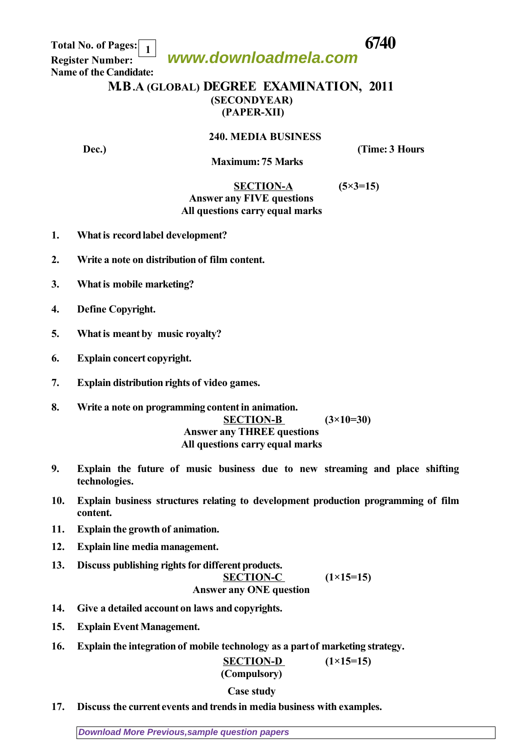**www.downloadmela.com**

 **Total No. of Pages: 6740 Register Number: Name of the Candidate: 1**

## **M.B.A (GLOBAL) DEGREE EXAMINATION, 2011 (SECONDYEAR) (PAPER-XII)**

**240. MEDIA BUSINESS**

**Dec.**) **Contract Contract Contract Contract Contract Contract Contract Contract Contract Contract Contract Contract Contract Contract Contract Contract Contract Contract Contract Contract Contract Contract Contract Contra** 

 **Maximum: 75 Marks** 

 **SECTION-A (5×3=15)**

## *Answer any FIVE questions All questions carry equal marks*

- **1. What is record label development?**
- **2. Write a note on distribution of film content.**
- **3. What is mobile marketing?**
- **4. Define Copyright.**
- **5. What is meant by music royalty?**
- **6. Explain concert copyright.**
- **7. Explain distribution rights of video games.**
- **8. Write a note on programming content in animation. SECTION-B (3×10=30)** *Answer any THREE questions All questions carry equal marks*
- **9. Explain the future of music business due to new streaming and place shifting technologies.**
- **10. Explain business structures relating to development production programming of film content.**
- **11. Explain the growth of animation.**
- **12. Explain line media management.**
- **13. Discuss publishing rights for different products.**

 $(1\times15=15)$ 

*Answer any ONE question*

- **14. Give a detailed account on laws and copyrights.**
- **15. Explain Event Management.**
- **16. Explain the integration of mobile technology as a part of marketing strategy.**

 **SECTION-D (1×15=15)** *(Compulsory)*

## *Case study*

**17. Discuss the current events and trends in media business with examples.**